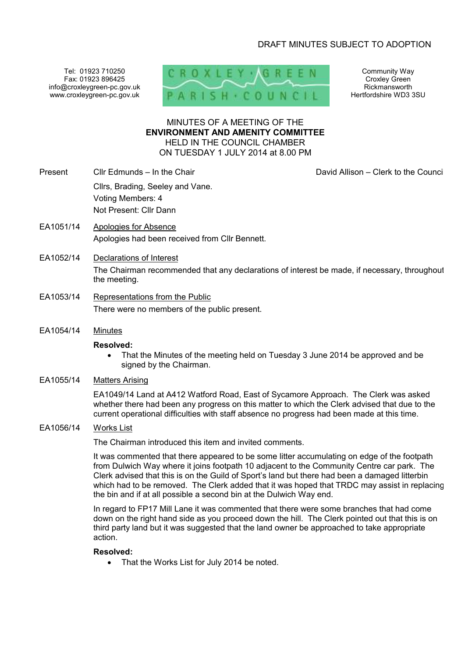# DRAFT MINUTES SUBJECT TO ADOPTION

Tel: 01923 710250 Fax: 01923 896425 info@croxleygreen-pc.gov.uk www.croxleygreen-pc.gov.uk



Community Way Croxley Green Rickmansworth Hertfordshire WD3 3SU

# MINUTES OF A MEETING OF THE **ENVIRONMENT AND AMENITY COMMITTEE** HELD IN THE COUNCIL CHAMBER ON TUESDAY 1 JULY 2014 at 8.00 PM

- Present Cllr Edmunds In the Chair Clair Chair David Allison Clerk to the Council Cllrs, Brading, Seeley and Vane. Voting Members: 4 Not Present: Cllr Dann
- EA1051/14 Apologies for Absence Apologies had been received from Cllr Bennett.
- EA1052/14 Declarations of Interest The Chairman recommended that any declarations of interest be made, if necessary, throughout the meeting.
- EA1053/14 Representations from the Public There were no members of the public present.
- EA1054/14 Minutes

### **Resolved:**

- That the Minutes of the meeting held on Tuesday 3 June 2014 be approved and be signed by the Chairman.
- EA1055/14 Matters Arising

EA1049/14 Land at A412 Watford Road, East of Sycamore Approach. The Clerk was asked whether there had been any progress on this matter to which the Clerk advised that due to the current operational difficulties with staff absence no progress had been made at this time.

EA1056/14 Works List

The Chairman introduced this item and invited comments.

It was commented that there appeared to be some litter accumulating on edge of the footpath from Dulwich Way where it joins footpath 10 adjacent to the Community Centre car park. The Clerk advised that this is on the Guild of Sport's land but there had been a damaged litterbin which had to be removed. The Clerk added that it was hoped that TRDC may assist in replacing the bin and if at all possible a second bin at the Dulwich Way end.

In regard to FP17 Mill Lane it was commented that there were some branches that had come down on the right hand side as you proceed down the hill. The Clerk pointed out that this is on third party land but it was suggested that the land owner be approached to take appropriate action.

### **Resolved:**

• That the Works List for July 2014 be noted.